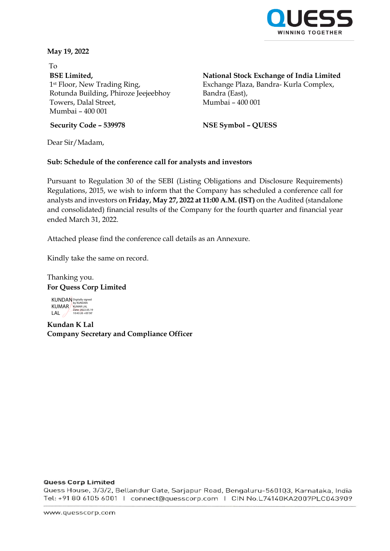

**May 19, 2022**

To **BSE Limited,** 1st Floor, New Trading Ring, Rotunda Building, Phiroze Jeejeebhoy Towers, Dalal Street, Mumbai – 400 001

**National Stock Exchange of India Limited**

Exchange Plaza, Bandra- Kurla Complex, Bandra (East), Mumbai – 400 001

**Security Code – 539978 NSE Symbol – QUESS**

Dear Sir/Madam,

### **Sub: Schedule of the conference call for analysts and investors**

Pursuant to Regulation 30 of the SEBI (Listing Obligations and Disclosure Requirements) Regulations, 2015, we wish to inform that the Company has scheduled a conference call for analysts and investors on **Friday, May 27, 2022 at 11:00 A.M. (IST)** on the Audited (standalone and consolidated) financial results of the Company for the fourth quarter and financial year ended March 31, 2022.

Attached please find the conference call details as an Annexure.

Kindly take the same on record.

Thanking you. **For Quess Corp Limited**

KUNDAN KUMAR LAL  $\angle$ Digitally signed by KUNDAN KUMAR LAL Date: 2022.05.19 10:43:26 +05'30'

**Kundan K Lal Company Secretary and Compliance Officer**

#### **Quess Corp Limited**

Quess House, 3/3/2, Bellandur Gate, Sarjapur Road, Bengaluru-560103, Karnataka, India Tel: +91 80 6105 6001 | connect@quesscorp.com | CIN No.L74140KA2007PLC043909